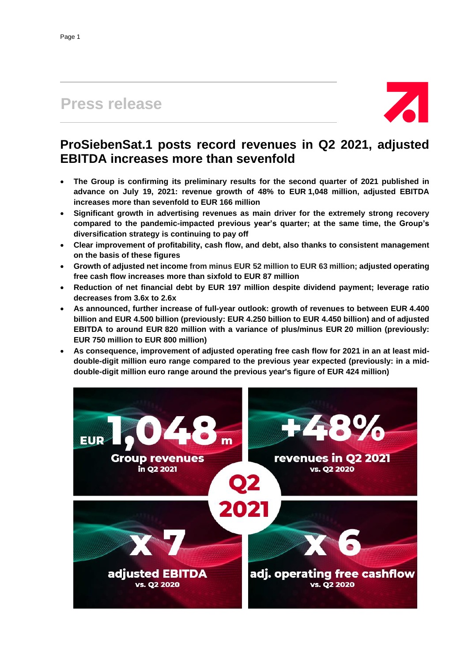# **Press release**



## **ProSiebenSat.1 posts record revenues in Q2 2021, adjusted EBITDA increases more than sevenfold**

- **The Group is confirming its preliminary results for the second quarter of 2021 published in advance on July 19, 2021: revenue growth of 48% to EUR 1,048 million, adjusted EBITDA increases more than sevenfold to EUR 166 million**
- **Significant growth in advertising revenues as main driver for the extremely strong recovery compared to the pandemic-impacted previous year's quarter; at the same time, the Group's diversification strategy is continuing to pay off**
- **Clear improvement of profitability, cash flow, and debt, also thanks to consistent management on the basis of these figures**
- **Growth of adjusted net income from minus EUR 52 million to EUR 63 million; adjusted operating free cash flow increases more than sixfold to EUR 87 million**
- **Reduction of net financial debt by EUR 197 million despite dividend payment; leverage ratio decreases from 3.6x to 2.6x**
- **As announced, further increase of full-year outlook: growth of revenues to between EUR 4.400 billion and EUR 4.500 billion (previously: EUR 4.250 billion to EUR 4.450 billion) and of adjusted EBITDA to around EUR 820 million with a variance of plus/minus EUR 20 million (previously: EUR 750 million to EUR 800 million)**
- **As consequence, improvement of adjusted operating free cash flow for 2021 in an at least middouble-digit million euro range compared to the previous year expected (previously: in a middouble-digit million euro range around the previous year's figure of EUR 424 million)**

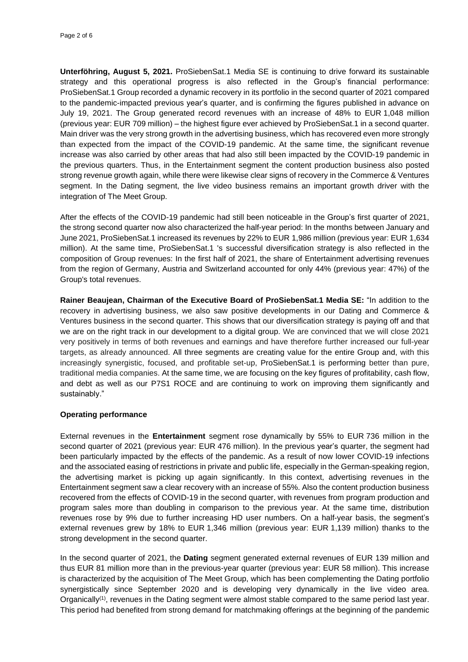**Unterföhring, August 5, 2021.** ProSiebenSat.1 Media SE is continuing to drive forward its sustainable strategy and this operational progress is also reflected in the Group's financial performance: ProSiebenSat.1 Group recorded a dynamic recovery in its portfolio in the second quarter of 2021 compared to the pandemic-impacted previous year's quarter, and is confirming the figures published in advance on July 19, 2021. The Group generated record revenues with an increase of 48% to EUR 1,048 million (previous year: EUR 709 million) – the highest figure ever achieved by ProSiebenSat.1 in a second quarter. Main driver was the very strong growth in the advertising business, which has recovered even more strongly than expected from the impact of the COVID-19 pandemic. At the same time, the significant revenue increase was also carried by other areas that had also still been impacted by the COVID-19 pandemic in the previous quarters. Thus, in the Entertainment segment the content production business also posted strong revenue growth again, while there were likewise clear signs of recovery in the Commerce & Ventures segment. In the Dating segment, the live video business remains an important growth driver with the integration of The Meet Group.

After the effects of the COVID-19 pandemic had still been noticeable in the Group's first quarter of 2021, the strong second quarter now also characterized the half-year period: In the months between January and June 2021, ProSiebenSat.1 increased its revenues by 22% to EUR 1,986 million (previous year: EUR 1,634 million). At the same time, ProSiebenSat.1 's successful diversification strategy is also reflected in the composition of Group revenues: In the first half of 2021, the share of Entertainment advertising revenues from the region of Germany, Austria and Switzerland accounted for only 44% (previous year: 47%) of the Group's total revenues.

**Rainer Beaujean, Chairman of the Executive Board of ProSiebenSat.1 Media SE:** "In addition to the recovery in advertising business, we also saw positive developments in our Dating and Commerce & Ventures business in the second quarter. This shows that our diversification strategy is paying off and that we are on the right track in our development to a digital group. We are convinced that we will close 2021 very positively in terms of both revenues and earnings and have therefore further increased our full-year targets, as already announced. All three segments are creating value for the entire Group and, with this increasingly synergistic, focused, and profitable set-up, ProSiebenSat.1 is performing better than pure, traditional media companies. At the same time, we are focusing on the key figures of profitability, cash flow, and debt as well as our P7S1 ROCE and are continuing to work on improving them significantly and sustainably."

## **Operating performance**

External revenues in the **Entertainment** segment rose dynamically by 55% to EUR 736 million in the second quarter of 2021 (previous year: EUR 476 million). In the previous year's quarter, the segment had been particularly impacted by the effects of the pandemic. As a result of now lower COVID-19 infections and the associated easing of restrictions in private and public life, especially in the German-speaking region, the advertising market is picking up again significantly. In this context, advertising revenues in the Entertainment segment saw a clear recovery with an increase of 55%. Also the content production business recovered from the effects of COVID-19 in the second quarter, with revenues from program production and program sales more than doubling in comparison to the previous year. At the same time, distribution revenues rose by 9% due to further increasing HD user numbers. On a half-year basis, the segment's external revenues grew by 18% to EUR 1,346 million (previous year: EUR 1,139 million) thanks to the strong development in the second quarter.

In the second quarter of 2021, the **Dating** segment generated external revenues of EUR 139 million and thus EUR 81 million more than in the previous-year quarter (previous year: EUR 58 million). This increase is characterized by the acquisition of The Meet Group, which has been complementing the Dating portfolio synergistically since September 2020 and is developing very dynamically in the live video area. Organically<sup>(1)</sup>, revenues in the Dating segment were almost stable compared to the same period last year. This period had benefited from strong demand for matchmaking offerings at the beginning of the pandemic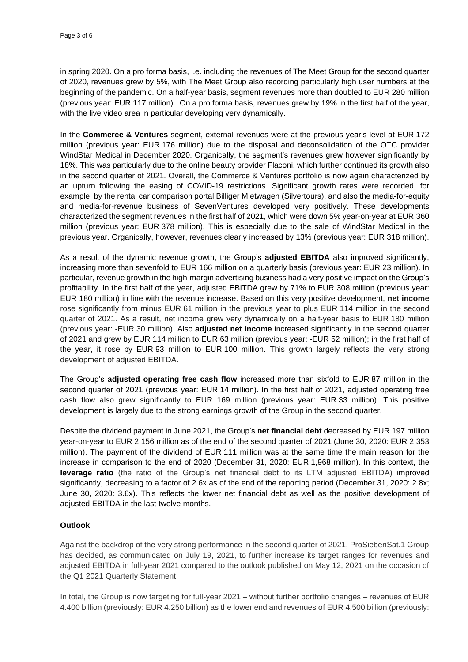in spring 2020. On a pro forma basis, i.e. including the revenues of The Meet Group for the second quarter of 2020, revenues grew by 5%, with The Meet Group also recording particularly high user numbers at the beginning of the pandemic. On a half-year basis, segment revenues more than doubled to EUR 280 million (previous year: EUR 117 million). On a pro forma basis, revenues grew by 19% in the first half of the year, with the live video area in particular developing very dynamically.

In the **Commerce & Ventures** segment, external revenues were at the previous year's level at EUR 172 million (previous year: EUR 176 million) due to the disposal and deconsolidation of the OTC provider WindStar Medical in December 2020. Organically, the segment's revenues grew however significantly by 18%. This was particularly due to the online beauty provider Flaconi, which further continued its growth also in the second quarter of 2021. Overall, the Commerce & Ventures portfolio is now again characterized by an upturn following the easing of COVID-19 restrictions. Significant growth rates were recorded, for example, by the rental car comparison portal Billiger Mietwagen (Silvertours), and also the media-for-equity and media-for-revenue business of SevenVentures developed very positively. These developments characterized the segment revenues in the first half of 2021, which were down 5% year-on-year at EUR 360 million (previous year: EUR 378 million). This is especially due to the sale of WindStar Medical in the previous year. Organically, however, revenues clearly increased by 13% (previous year: EUR 318 million).

As a result of the dynamic revenue growth, the Group's **adjusted EBITDA** also improved significantly, increasing more than sevenfold to EUR 166 million on a quarterly basis (previous year: EUR 23 million). In particular, revenue growth in the high-margin advertising business had a very positive impact on the Group's profitability. In the first half of the year, adjusted EBITDA grew by 71% to EUR 308 million (previous year: EUR 180 million) in line with the revenue increase. Based on this very positive development, **net income** rose significantly from minus EUR 61 million in the previous year to plus EUR 114 million in the second quarter of 2021. As a result, net income grew very dynamically on a half-year basis to EUR 180 million (previous year: -EUR 30 million). Also **adjusted net income** increased significantly in the second quarter of 2021 and grew by EUR 114 million to EUR 63 million (previous year: -EUR 52 million); in the first half of the year, it rose by EUR 93 million to EUR 100 million. This growth largely reflects the very strong development of adjusted EBITDA.

The Group's **adjusted operating free cash flow** increased more than sixfold to EUR 87 million in the second quarter of 2021 (previous year: EUR 14 million). In the first half of 2021, adjusted operating free cash flow also grew significantly to EUR 169 million (previous year: EUR 33 million). This positive development is largely due to the strong earnings growth of the Group in the second quarter.

Despite the dividend payment in June 2021, the Group's **net financial debt** decreased by EUR 197 million year-on-year to EUR 2,156 million as of the end of the second quarter of 2021 (June 30, 2020: EUR 2,353 million). The payment of the dividend of EUR 111 million was at the same time the main reason for the increase in comparison to the end of 2020 (December 31, 2020: EUR 1,968 million). In this context, the **leverage ratio** (the ratio of the Group's net financial debt to its LTM adjusted EBITDA) improved significantly, decreasing to a factor of 2.6x as of the end of the reporting period (December 31, 2020: 2.8x; June 30, 2020: 3.6x). This reflects the lower net financial debt as well as the positive development of adjusted EBITDA in the last twelve months.

## **Outlook**

Against the backdrop of the very strong performance in the second quarter of 2021, ProSiebenSat.1 Group has decided, as communicated on July 19, 2021, to further increase its target ranges for revenues and adjusted EBITDA in full-year 2021 compared to the outlook published on May 12, 2021 on the occasion of the Q1 2021 Quarterly Statement.

In total, the Group is now targeting for full-year 2021 – without further portfolio changes – revenues of EUR 4.400 billion (previously: EUR 4.250 billion) as the lower end and revenues of EUR 4.500 billion (previously: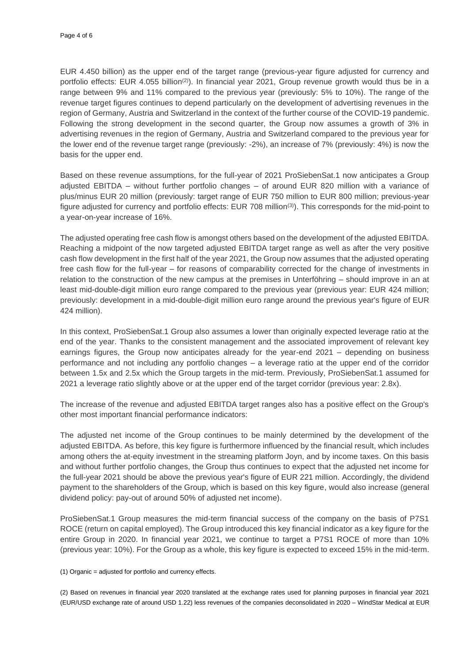EUR 4.450 billion) as the upper end of the target range (previous-year figure adjusted for currency and portfolio effects: EUR 4.055 billion<sup>(2)</sup>). In financial year 2021, Group revenue growth would thus be in a range between 9% and 11% compared to the previous year (previously: 5% to 10%). The range of the revenue target figures continues to depend particularly on the development of advertising revenues in the region of Germany, Austria and Switzerland in the context of the further course of the COVID-19 pandemic. Following the strong development in the second quarter, the Group now assumes a growth of 3% in advertising revenues in the region of Germany, Austria and Switzerland compared to the previous year for the lower end of the revenue target range (previously: -2%), an increase of 7% (previously: 4%) is now the basis for the upper end.

Based on these revenue assumptions, for the full-year of 2021 ProSiebenSat.1 now anticipates a Group adjusted EBITDA – without further portfolio changes – of around EUR 820 million with a variance of plus/minus EUR 20 million (previously: target range of EUR 750 million to EUR 800 million; previous-year figure adjusted for currency and portfolio effects: EUR 708 million(3) ). This corresponds for the mid-point to a year-on-year increase of 16%.

The adjusted operating free cash flow is amongst others based on the development of the adjusted EBITDA. Reaching a midpoint of the now targeted adjusted EBITDA target range as well as after the very positive cash flow development in the first half of the year 2021, the Group now assumes that the adjusted operating free cash flow for the full-year – for reasons of comparability corrected for the change of investments in relation to the construction of the new campus at the premises in Unterföhring – should improve in an at least mid-double-digit million euro range compared to the previous year (previous year: EUR 424 million; previously: development in a mid-double-digit million euro range around the previous year's figure of EUR 424 million).

In this context, ProSiebenSat.1 Group also assumes a lower than originally expected leverage ratio at the end of the year. Thanks to the consistent management and the associated improvement of relevant key earnings figures, the Group now anticipates already for the year-end 2021 – depending on business performance and not including any portfolio changes – a leverage ratio at the upper end of the corridor between 1.5x and 2.5x which the Group targets in the mid-term. Previously, ProSiebenSat.1 assumed for 2021 a leverage ratio slightly above or at the upper end of the target corridor (previous year: 2.8x).

The increase of the revenue and adjusted EBITDA target ranges also has a positive effect on the Group's other most important financial performance indicators:

The adjusted net income of the Group continues to be mainly determined by the development of the adjusted EBITDA. As before, this key figure is furthermore influenced by the financial result, which includes among others the at-equity investment in the streaming platform Joyn, and by income taxes. On this basis and without further portfolio changes, the Group thus continues to expect that the adjusted net income for the full-year 2021 should be above the previous year's figure of EUR 221 million. Accordingly, the dividend payment to the shareholders of the Group, which is based on this key figure, would also increase (general dividend policy: pay-out of around 50% of adjusted net income).

ProSiebenSat.1 Group measures the mid-term financial success of the company on the basis of P7S1 ROCE (return on capital employed). The Group introduced this key financial indicator as a key figure for the entire Group in 2020. In financial year 2021, we continue to target a P7S1 ROCE of more than 10% (previous year: 10%). For the Group as a whole, this key figure is expected to exceed 15% in the mid-term.

(1) Organic = adjusted for portfolio and currency effects.

(2) Based on revenues in financial year 2020 translated at the exchange rates used for planning purposes in financial year 2021 (EUR/USD exchange rate of around USD 1.22) less revenues of the companies deconsolidated in 2020 – WindStar Medical at EUR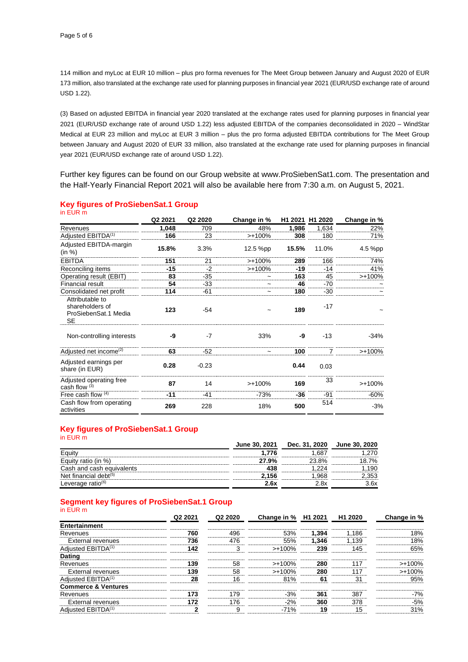114 million and myLoc at EUR 10 million – plus pro forma revenues for The Meet Group between January and August 2020 of EUR 173 million, also translated at the exchange rate used for planning purposes in financial year 2021 (EUR/USD exchange rate of around USD 1.22).

(3) Based on adjusted EBITDA in financial year 2020 translated at the exchange rates used for planning purposes in financial year 2021 (EUR/USD exchange rate of around USD 1.22) less adjusted EBITDA of the companies deconsolidated in 2020 – WindStar Medical at EUR 23 million and myLoc at EUR 3 million – plus the pro forma adjusted EBITDA contributions for The Meet Group between January and August 2020 of EUR 33 million, also translated at the exchange rate used for planning purposes in financial year 2021 (EUR/USD exchange rate of around USD 1.22).

Further key figures can be found on our Group website at www.ProSiebenSat1.com. The presentation and the Half-Yearly Financial Report 2021 will also be available here from 7:30 a.m. on August 5, 2021.

| in EUR m                                                         |         |         |             |       |                 |             |
|------------------------------------------------------------------|---------|---------|-------------|-------|-----------------|-------------|
|                                                                  | Q2 2021 | Q2 2020 | Change in % |       | H1 2021 H1 2020 | Change in % |
| Revenues                                                         | 1,048   | 709     | 48%         | 1,986 | 1,634           | 22%         |
| Adjusted EBITDA <sup>(1)</sup>                                   | 166     | 23      | $>+100%$    | 308   | 180             | 71%         |
| Adjusted EBITDA-margin<br>(in %)                                 | 15.8%   | 3.3%    | 12.5 %pp    | 15.5% | 11.0%           | 4.5 %pp     |
| <b>EBITDA</b>                                                    | 151     | 21      | $>+100\%$   | 289   | 166             | 74%         |
| Reconciling items                                                | $-15$   | $-2$    | $>+100%$    | $-19$ | $-14$           | 41%         |
| Operating result (EBIT)                                          | 83      | -35     | $\tilde{}$  | 163   | 45              | $>+100\%$   |
| Financial result                                                 | 54      | $-33$   |             | 46    | $-70$           |             |
| Consolidated net profit                                          | 114     | -61     | $\tilde{}$  | 180   | -30             |             |
| Attributable to<br>shareholders of<br>ProSiebenSat.1 Media<br>SE | 123     | $-54$   |             | 189   | $-17$           |             |
| Non-controlling interests                                        | -9      | $-7$    | 33%         | -9    | $-13$           | $-34%$      |
| Adjusted net income <sup>(2)</sup>                               | 63      | $-52$   |             | 100   | 7               | $>+100%$    |
| Adjusted earnings per<br>share (in EUR)                          | 0.28    | $-0.23$ |             | 0.44  | 0.03            |             |
| Adjusted operating free<br>cash flow $(3)$                       | 87      | 14      | $>+100%$    | 169   | 33              | $> +100%$   |
| Free cash flow $(4)$                                             | $-11$   | $-41$   | $-73%$      | $-36$ | $-91$           | $-60%$      |
| Cash flow from operating<br>activities                           | 269     | 228     | 18%         | 500   | 514             | $-3%$       |

## **Key figures of ProSiebenSat.1 Group**

#### **Key figures of ProSiebenSat.1 Group** in EUR m

|                               | <b>June 30, 2021</b> | Dec. 31, 2020 | June 30, 2020 |
|-------------------------------|----------------------|---------------|---------------|
| Eauity                        | 1.776                | .68           | 270           |
| Equity ratio (in %)           | 27.9%                | 23.8%         | 18.7%         |
| Cash and cash equivalents     | 438                  |               | .190          |
| Net financial debt $(5)$      | 2.156                | .968          | 353           |
| Leverage ratio <sup>(6)</sup> | 2.6x                 | 2.8x          | 3.6x          |

#### **Segment key figures of ProSiebenSat.1 Group** in EUR m

|                                | Q <sub>2</sub> 2021 | Q2 2020 | Change in % H1 2021 |       | H1 2020 | Change in % |
|--------------------------------|---------------------|---------|---------------------|-------|---------|-------------|
| Entertainment                  |                     |         |                     |       |         |             |
| Revenues                       | 760                 | 496     | 53%                 | 1.394 | 1.186   | 18%         |
| <b>External revenues</b>       | 736                 | 476     | 55%                 | 1.346 | 1,139   | 18%         |
| Adjusted EBITDA <sup>(1)</sup> | 142                 | 3       | >+100%              | 239   | 145     | 65%         |
| <b>Dating</b>                  |                     |         |                     |       |         |             |
| Revenues                       | 139                 | 58      | $>+100\%$           | 280   | 117     | $>+100%$    |
| External revenues              | 139                 | 58      | $>+100%$            | 280   | 117     | $>+100%$    |
| Adjusted EBITDA <sup>(1)</sup> | 28                  | 16      | 81%                 | 61    | 31      | 95%         |
| <b>Commerce &amp; Ventures</b> |                     |         |                     |       |         |             |
| Revenues                       | 173                 | 179     | $-3%$               | 361   | 387     | $-7%$       |
| <b>External revenues</b>       | 172                 | 176     | $-2%$               | 360   | 378     | $-5%$       |
| Adjusted EBITDA <sup>(1)</sup> | ◠                   | 9       | $-71%$              | 19    | 15      | 31%         |